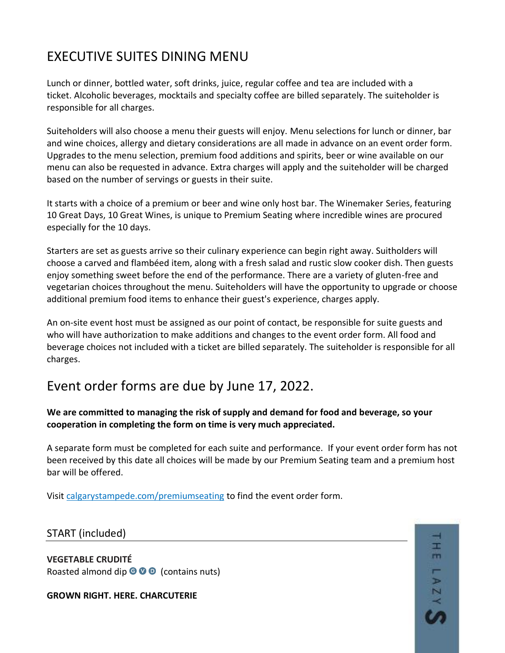# EXECUTIVE SUITES DINING MENU

Lunch or dinner, bottled water, soft drinks, juice, regular coffee and tea are included with a ticket. Alcoholic beverages, mocktails and specialty coffee are billed separately. The suiteholder is responsible for all charges.

Suiteholders will also choose a menu their guests will enjoy. Menu selections for lunch or dinner, bar and wine choices, allergy and dietary considerations are all made in advance on an event order form. Upgrades to the menu selection, premium food additions and spirits, beer or wine available on our menu can also be requested in advance. Extra charges will apply and the suiteholder will be charged based on the number of servings or guests in their suite.

It starts with a choice of a premium or beer and wine only host bar. The Winemaker Series, featuring 10 Great Days, 10 Great Wines, is unique to Premium Seating where incredible wines are procured especially for the 10 days.

Starters are set as guests arrive so their culinary experience can begin right away. Suitholders will choose a carved and flambéed item, along with a fresh salad and rustic slow cooker dish. Then guests enjoy something sweet before the end of the performance. There are a variety of gluten-free and vegetarian choices throughout the menu. Suiteholders will have the opportunity to upgrade or choose additional premium food items to enhance their guest's experience, charges apply.

An on-site event host must be assigned as our point of contact, be responsible for suite guests and who will have authorization to make additions and changes to the event order form. All food and beverage choices not included with a ticket are billed separately. The suiteholder is responsible for all charges.

# Event order forms are due by June 17, 2022.

## **We are committed to managing the risk of supply and demand for food and beverage, so your cooperation in completing the form on time is very much appreciated.**

A separate form must be completed for each suite and performance. If your event order form has not been received by this date all choices will be made by our Premium Seating team and a premium host bar will be offered.

Visit [calgarystampede.com/premiumseating](http://calgarystampede.com/premiumseating) to find the event order form.

## START (included)

**VEGETABLE CRUDITÉ** Roasted almond dip  $\bullet \bullet \bullet$  (contains nuts)

**GROWN RIGHT. HERE. CHARCUTERIE** 

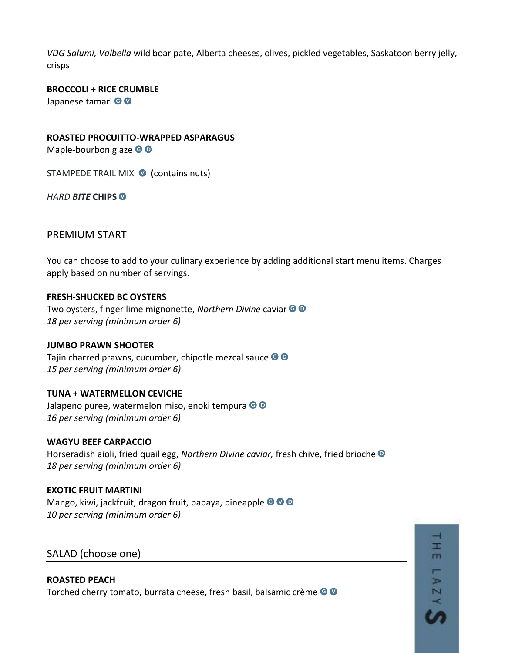*VDG Salumi, Valbella* wild boar pate, Alberta cheeses, olives, pickled vegetables, Saskatoon berry jelly, crisps

**BROCCOLI + RICE CRUMBLE**  Japanese tamari © ®

**ROASTED PROCUITTO-WRAPPED ASPARAGUS**

Maple-bourbon glaze  $\bigcirc$   $\bigcirc$ 

STAMPEDE TRAIL MIX **O** (contains nuts)

*HARD BITE* **CHIPS**

## PREMIUM START

You can choose to add to your culinary experience by adding additional start menu items. Charges apply based on number of servings.

#### **FRESH-SHUCKED BC OYSTERS**

Two oysters, finger lime mignonette, *Northern Divine* caviar *18 per serving (minimum order 6)*

#### **JUMBO PRAWN SHOOTER**

Tajin charred prawns, cucumber, chipotle mezcal sauce  $\bullet$   $\bullet$ *15 per serving (minimum order 6)*

## **TUNA + WATERMELLON CEVICHE**

Jalapeno puree, watermelon miso, enoki tempura <sup>o o</sup> *16 per serving (minimum order 6)*

## **WAGYU BEEF CARPACCIO**

Horseradish aioli, fried quail egg, *Northern Divine caviar,* fresh chive, fried brioche *18 per serving (minimum order 6)*

**EXOTIC FRUIT MARTINI** Mango, kiwi, jackfruit, dragon fruit, papaya, pineapple <sup>@ @ 0</sup> *10 per serving (minimum order 6)*

SALAD (choose one)

**ROASTED PEACH** Torched cherry tomato, burrata cheese, fresh basil, balsamic crème <sup>®</sup>

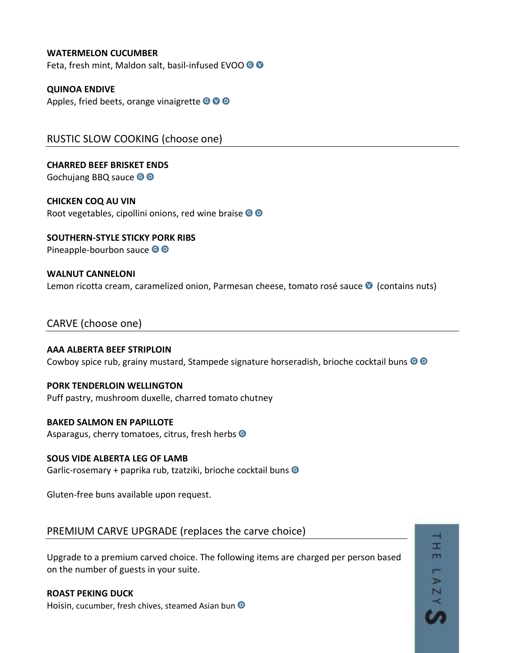#### **WATERMELON CUCUMBER**

Feta, fresh mint, Maldon salt, basil-infused EVOO <sup>O</sup>

#### **QUINOA ENDIVE**

Apples, fried beets, orange vinaigrette  $\bigcirc \hspace{-0.15cm} \bigcirc \hspace{-0.15cm} \bigcirc \hspace{-0.15cm} \bigcirc$ 

RUSTIC SLOW COOKING (choose one)

**CHARRED BEEF BRISKET ENDS** Gochujang BBQ sauce <sup>OO</sup>

**CHICKEN COQ AU VIN** Root vegetables, cipollini onions, red wine braise <sup>o o</sup>

**SOUTHERN-STYLE STICKY PORK RIBS**  Pineapple-bourbon sauce <sup>o</sup>

## **WALNUT CANNELONI** Lemon ricotta cream, caramelized onion, Parmesan cheese, tomato rosé sauce <sup>1</sup> (contains nuts)

## CARVE (choose one)

**AAA ALBERTA BEEF STRIPLOIN** Cowboy spice rub, grainy mustard, Stampede signature horseradish, brioche cocktail buns  $\bullet$   $\bullet$ 

#### **PORK TENDERLOIN WELLINGTON**

Puff pastry, mushroom duxelle, charred tomato chutney

#### **BAKED SALMON EN PAPILLOTE**

Asparagus, cherry tomatoes, citrus, fresh herbs <sup>G</sup>

**SOUS VIDE ALBERTA LEG OF LAMB** Garlic-rosemary + paprika rub, tzatziki, brioche cocktail buns

Gluten-free buns available upon request.

## PREMIUM CARVE UPGRADE (replaces the carve choice)

Upgrade to a premium carved choice. The following items are charged per person based on the number of guests in your suite.

r m.

N

07

#### **ROAST PEKING DUCK**

Hoisin, cucumber, fresh chives, steamed Asian bun <sup>D</sup>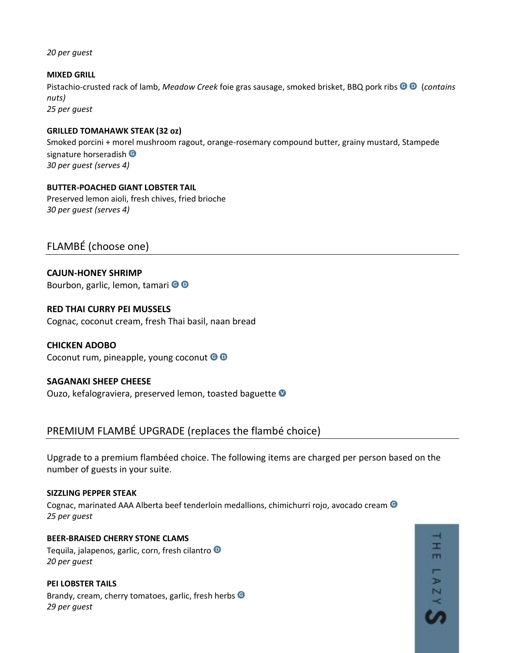*20 per guest*

**MIXED GRILL** Pistachio-crusted rack of lamb, *Meadow Creek* foie gras sausage, smoked brisket, BBQ pork ribs (*contains nuts) 25 per guest*

#### **GRILLED TOMAHAWK STEAK (32 oz)**

Smoked porcini + morel mushroom ragout, orange-rosemary compound butter, grainy mustard, Stampede signature horseradish <sup>O</sup> *30 per guest (serves 4)*

**BUTTER-POACHED GIANT LOBSTER TAIL**  Preserved lemon aioli, fresh chives, fried brioche *30 per guest (serves 4)*

FLAMBÉ (choose one)

**CAJUN-HONEY SHRIMP** Bourbon, garlic, lemon, tamari <sup>OO</sup>

**RED THAI CURRY PEI MUSSELS** Cognac, coconut cream, fresh Thai basil, naan bread

**CHICKEN ADOBO**  Coconut rum, pineapple, young coconut © ©

## **SAGANAKI SHEEP CHEESE**

Ouzo, kefalograviera, preserved lemon, toasted baguette

PREMIUM FLAMBÉ UPGRADE (replaces the flambé choice)

Upgrade to a premium flambéed choice. The following items are charged per person based on the number of guests in your suite.

#### **SIZZLING PEPPER STEAK**

Cognac, marinated AAA Alberta beef tenderloin medallions, chimichurri rojo, avocado cream <sup>G</sup> *25 per guest*

**BEER-BRAISED CHERRY STONE CLAMS** Tequila, jalapenos, garlic, corn, fresh cilantro <sup>D</sup> *20 per guest*

**PEI LOBSTER TAILS** Brandy, cream, cherry tomatoes, garlic, fresh herbs  $\bullet$ *29 per guest*

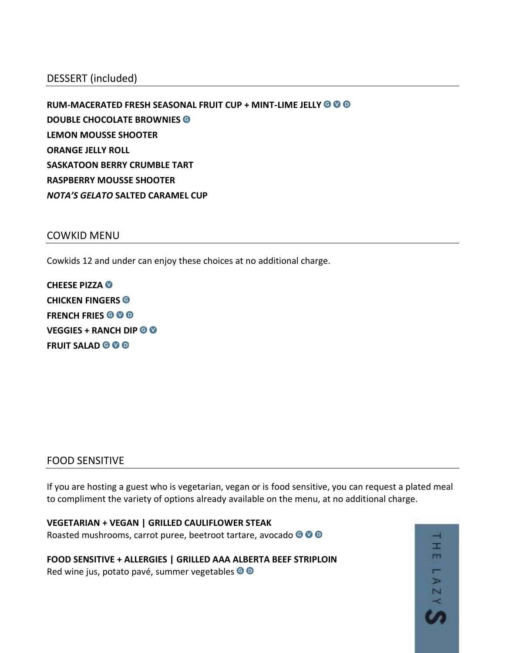## DESSERT (included)

**RUM-MACERATED FRESH SEASONAL FRUIT CUP + MINT-LIME JELLY DOUBLE CHOCOLATE BROWNIES LEMON MOUSSE SHOOTER ORANGE JELLY ROLL SASKATOON BERRY CRUMBLE TART RASPBERRY MOUSSE SHOOTER** *NOTA'S GELATO* **SALTED CARAMEL CUP**

### COWKID MENU

Cowkids 12 and under can enjoy these choices at no additional charge.

**CHEESE PIZZA CHICKEN FINGERS FRENCH FRIES VEGGIES + RANCH DIP FRUIT SALAD @ @ @** 

## FOOD SENSITIVE

If you are hosting a guest who is vegetarian, vegan or is food sensitive, you can request a plated meal to compliment the variety of options already available on the menu, at no additional charge.

**VEGETARIAN + VEGAN | GRILLED CAULIFLOWER STEAK** Roasted mushrooms, carrot puree, beetroot tartare, avocado <sup>o o o</sup>

**FOOD SENSITIVE + ALLERGIES | GRILLED AAA ALBERTA BEEF STRIPLOIN** Red wine jus, potato pavé, summer vegetables <sup>o o</sup>